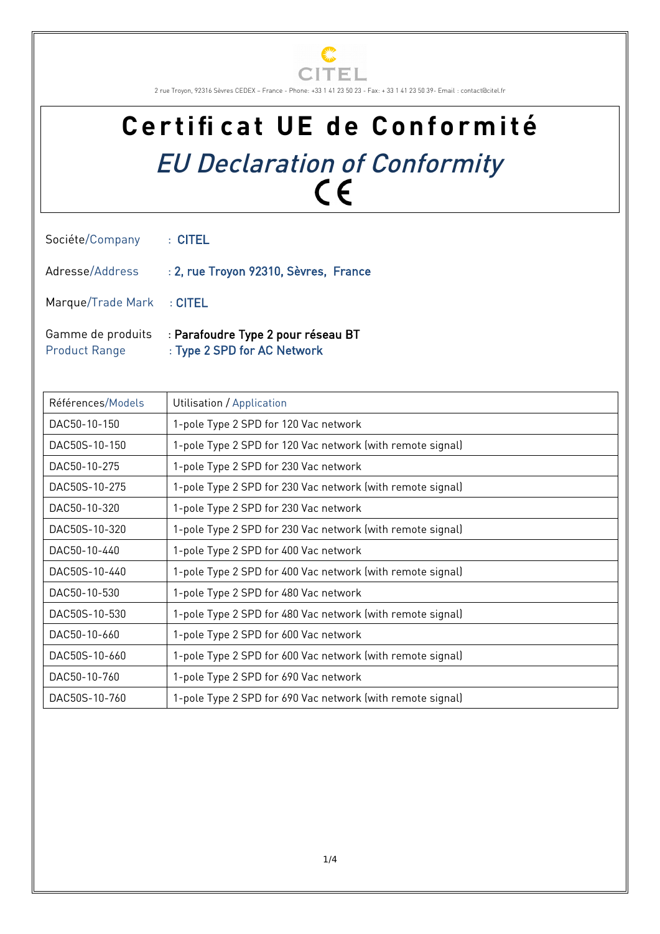

2 rue Troyon, 92316 Sèvres CEDEX – France - Phone: +33 1 41 23 50 23 - Fax: + 33 1 41 23 50 39- Email : contact@citel.fr

## Certificat UE de Conformité EU Declaration of Conformity

| Sociéte/Company : CITEL   |                                                       |
|---------------------------|-------------------------------------------------------|
|                           | Adresse/Address : 2, rue Troyon 92310, Sèvres, France |
| Marque/Trade Mark : CITEL |                                                       |
|                           | Gamme de produits : Parafoudre Type 2 pour réseau BT  |

Product Range : Type 2 SPD for AC Network

| Références/Models | Utilisation / Application                                  |
|-------------------|------------------------------------------------------------|
| DAC50-10-150      | 1-pole Type 2 SPD for 120 Vac network                      |
| DAC50S-10-150     | 1-pole Type 2 SPD for 120 Vac network (with remote signal) |
| DAC50-10-275      | 1-pole Type 2 SPD for 230 Vac network                      |
| DAC50S-10-275     | 1-pole Type 2 SPD for 230 Vac network (with remote signal) |
| DAC50-10-320      | 1-pole Type 2 SPD for 230 Vac network                      |
| DAC50S-10-320     | 1-pole Type 2 SPD for 230 Vac network (with remote signal) |
| DAC50-10-440      | 1-pole Type 2 SPD for 400 Vac network                      |
| DAC50S-10-440     | 1-pole Type 2 SPD for 400 Vac network (with remote signal) |
| DAC50-10-530      | 1-pole Type 2 SPD for 480 Vac network                      |
| DAC50S-10-530     | 1-pole Type 2 SPD for 480 Vac network (with remote signal) |
| DAC50-10-660      | 1-pole Type 2 SPD for 600 Vac network                      |
| DAC50S-10-660     | 1-pole Type 2 SPD for 600 Vac network (with remote signal) |
| DAC50-10-760      | 1-pole Type 2 SPD for 690 Vac network                      |
| DAC50S-10-760     | 1-pole Type 2 SPD for 690 Vac network (with remote signal) |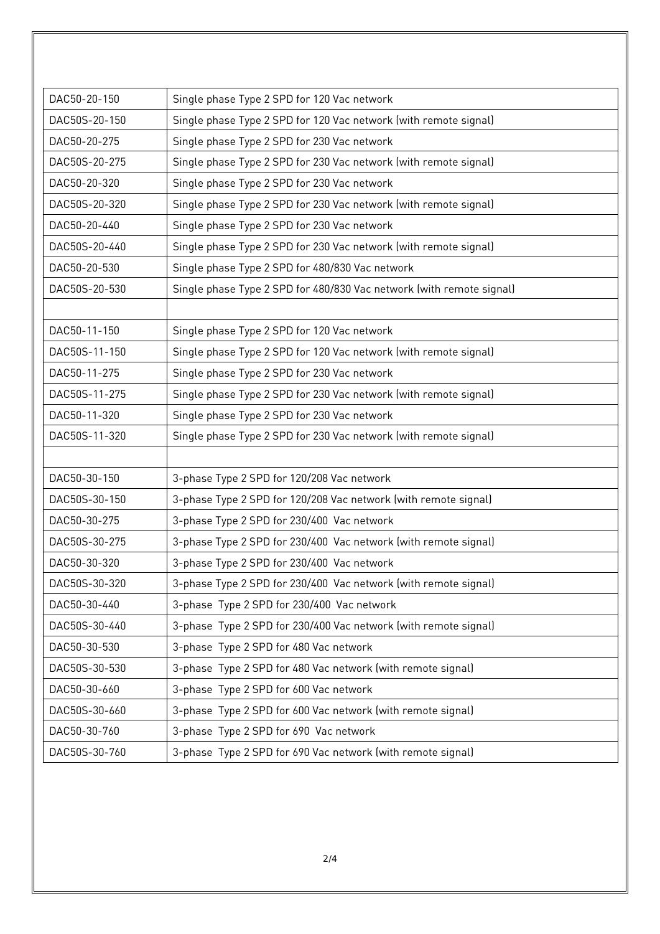| DAC50-20-150  | Single phase Type 2 SPD for 120 Vac network                          |
|---------------|----------------------------------------------------------------------|
| DAC50S-20-150 | Single phase Type 2 SPD for 120 Vac network (with remote signal)     |
| DAC50-20-275  | Single phase Type 2 SPD for 230 Vac network                          |
| DAC50S-20-275 | Single phase Type 2 SPD for 230 Vac network (with remote signal)     |
| DAC50-20-320  | Single phase Type 2 SPD for 230 Vac network                          |
| DAC50S-20-320 | Single phase Type 2 SPD for 230 Vac network (with remote signal)     |
| DAC50-20-440  | Single phase Type 2 SPD for 230 Vac network                          |
| DAC50S-20-440 | Single phase Type 2 SPD for 230 Vac network (with remote signal)     |
| DAC50-20-530  | Single phase Type 2 SPD for 480/830 Vac network                      |
| DAC50S-20-530 | Single phase Type 2 SPD for 480/830 Vac network (with remote signal) |
|               |                                                                      |
| DAC50-11-150  | Single phase Type 2 SPD for 120 Vac network                          |
| DAC50S-11-150 | Single phase Type 2 SPD for 120 Vac network (with remote signal)     |
| DAC50-11-275  | Single phase Type 2 SPD for 230 Vac network                          |
| DAC50S-11-275 | Single phase Type 2 SPD for 230 Vac network (with remote signal)     |
| DAC50-11-320  | Single phase Type 2 SPD for 230 Vac network                          |
| DAC50S-11-320 | Single phase Type 2 SPD for 230 Vac network (with remote signal)     |
|               |                                                                      |
| DAC50-30-150  | 3-phase Type 2 SPD for 120/208 Vac network                           |
| DAC50S-30-150 | 3-phase Type 2 SPD for 120/208 Vac network (with remote signal)      |
| DAC50-30-275  | 3-phase Type 2 SPD for 230/400 Vac network                           |
| DAC50S-30-275 | 3-phase Type 2 SPD for 230/400 Vac network (with remote signal)      |
| DAC50-30-320  | 3-phase Type 2 SPD for 230/400 Vac network                           |
| DAC50S-30-320 | 3-phase Type 2 SPD for 230/400 Vac network (with remote signal)      |
| DAC50-30-440  | 3-phase Type 2 SPD for 230/400 Vac network                           |
| DAC50S-30-440 | 3-phase Type 2 SPD for 230/400 Vac network (with remote signal)      |
| DAC50-30-530  | 3-phase Type 2 SPD for 480 Vac network                               |
| DAC50S-30-530 | 3-phase Type 2 SPD for 480 Vac network (with remote signal)          |
| DAC50-30-660  | 3-phase Type 2 SPD for 600 Vac network                               |
| DAC50S-30-660 | 3-phase Type 2 SPD for 600 Vac network (with remote signal)          |
| DAC50-30-760  | 3-phase Type 2 SPD for 690 Vac network                               |
| DAC50S-30-760 | 3-phase Type 2 SPD for 690 Vac network (with remote signal)          |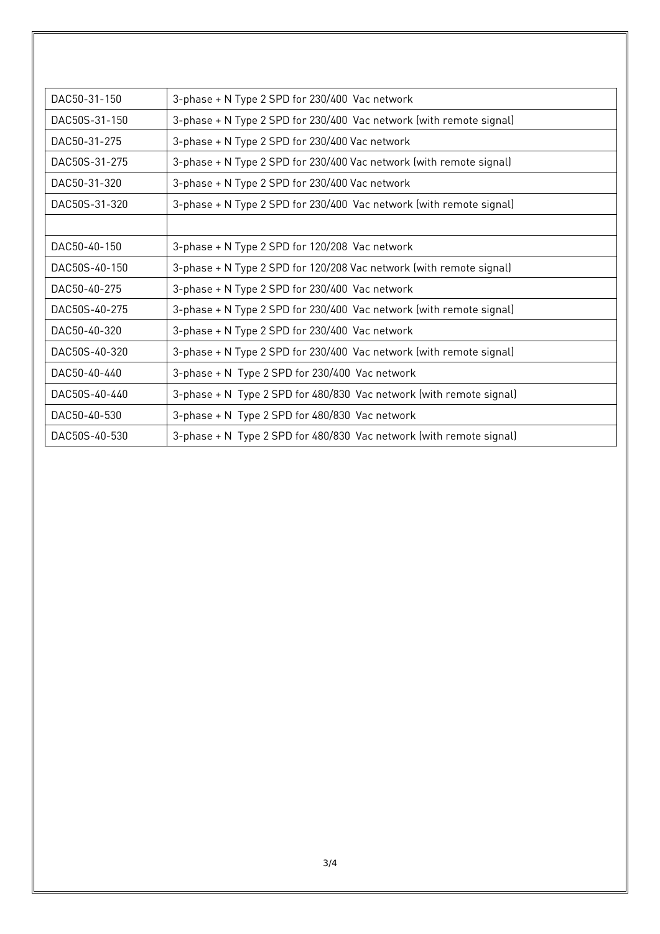| DAC50-31-150  | 3-phase + N Type 2 SPD for 230/400 Vac network                      |
|---------------|---------------------------------------------------------------------|
| DAC50S-31-150 | 3-phase + N Type 2 SPD for 230/400 Vac network (with remote signal) |
| DAC50-31-275  | 3-phase + N Type 2 SPD for 230/400 Vac network                      |
| DAC50S-31-275 | 3-phase + N Type 2 SPD for 230/400 Vac network (with remote signal) |
| DAC50-31-320  | 3-phase + N Type 2 SPD for 230/400 Vac network                      |
| DAC50S-31-320 | 3-phase + N Type 2 SPD for 230/400 Vac network (with remote signal) |
|               |                                                                     |
| DAC50-40-150  | 3-phase + N Type 2 SPD for 120/208 Vac network                      |
| DAC50S-40-150 | 3-phase + N Type 2 SPD for 120/208 Vac network (with remote signal) |
| DAC50-40-275  | 3-phase + N Type 2 SPD for 230/400 Vac network                      |
| DAC50S-40-275 | 3-phase + N Type 2 SPD for 230/400 Vac network (with remote signal) |
| DAC50-40-320  | 3-phase + N Type 2 SPD for 230/400 Vac network                      |
| DAC50S-40-320 | 3-phase + N Type 2 SPD for 230/400 Vac network (with remote signal) |
| DAC50-40-440  | 3-phase + N Type 2 SPD for 230/400 Vac network                      |
| DAC50S-40-440 | 3-phase + N Type 2 SPD for 480/830 Vac network (with remote signal) |
| DAC50-40-530  | 3-phase + N Type 2 SPD for 480/830 Vac network                      |
| DAC50S-40-530 | 3-phase + N Type 2 SPD for 480/830 Vac network (with remote signal) |